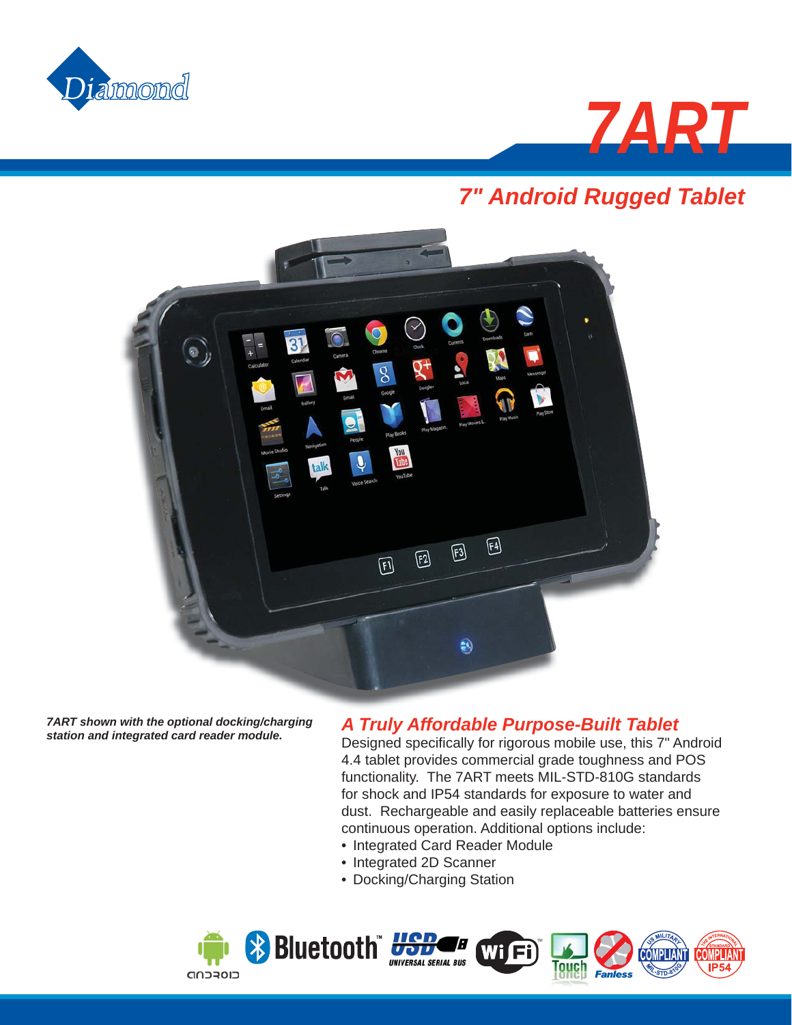



# *7" Android Rugged Tablet*



*7ART shown with the optional docking/charging station and integrated card reader module.*

### *A Truly Affordable Purpose-Built Tablet*

Designed specifically for rigorous mobile use, this 7" Android 4.4 tablet provides commercial grade toughness and POS functionality. The 7ART meets MIL-STD-810G standards for shock and IP54 standards for exposure to water and dust. Rechargeable and easily replaceable batteries ensure continuous operation. Additional options include:

- Integrated Card Reader Module
- Integrated 2D Scanner
- Docking/Charging Station